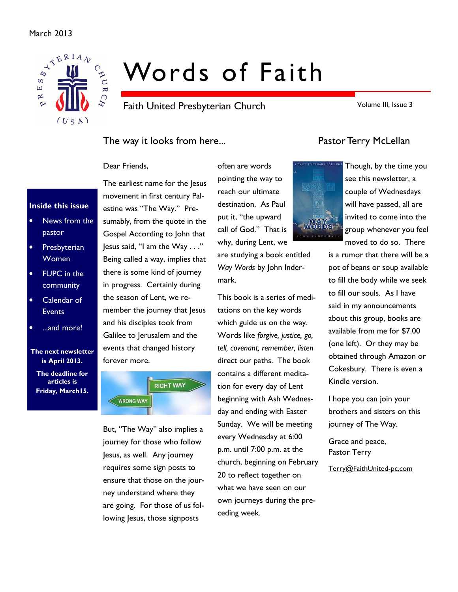#### March 2013



# Words of Faith

Faith United Presbyterian Church

Volume III, Issue 3

#### The way it looks from here... The way it looks from here...

Dear Friends,

#### Inside this issue

- News from the pastor
- Presbyterian Women
- FUPC in the community
- Calendar of **Events**
- ...and more!

#### The next newsletter is April 2013.

The deadline for articles is Friday, March15.

The earliest name for the Jesus movement in first century Palestine was "The Way." Presumably, from the quote in the Gospel According to John that Jesus said, "I am the Way . . ." Being called a way, implies that there is some kind of journey in progress. Certainly during the season of Lent, we remember the journey that lesus and his disciples took from Galilee to Jerusalem and the events that changed history forever more.



But, "The Way" also implies a journey for those who follow Jesus, as well. Any journey requires some sign posts to ensure that those on the journey understand where they are going. For those of us following Jesus, those signposts

pointing the way to reach our ultimate destination. As Paul put it, "the upward call of God." That is why, during Lent, we are studying a book entitled Way Words by John Indermark.

often are words

This book is a series of meditations on the key words which guide us on the way. Words like forgive, justice, go, tell, covenant, remember, listen direct our paths. The book contains a different meditation for every day of Lent beginning with Ash Wednesday and ending with Easter Sunday. We will be meeting every Wednesday at 6:00 p.m. until 7:00 p.m. at the church, beginning on February 20 to reflect together on what we have seen on our own journeys during the preceding week.



Though, by the time you see this newsletter, a couple of Wednesdays will have passed, all are invited to come into the group whenever you feel moved to do so. There

is a rumor that there will be a pot of beans or soup available to fill the body while we seek to fill our souls. As I have said in my announcements about this group, books are available from me for \$7.00 (one left). Or they may be obtained through Amazon or Cokesbury. There is even a Kindle version.

I hope you can join your brothers and sisters on this journey of The Way.

Grace and peace, Pastor Terry

Terry@FaithUnited-pc.com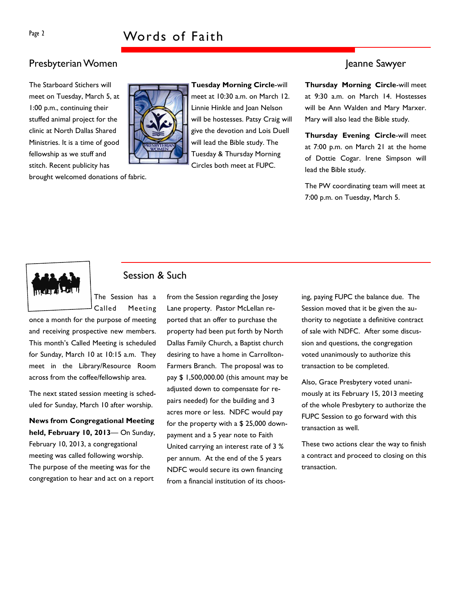### Presbyterian Women Jeanne Sawyer

The Starboard Stichers will meet on Tuesday, March 5, at 1:00 p.m., continuing their stuffed animal project for the clinic at North Dallas Shared Ministries. It is a time of good fellowship as we stuff and stitch. Recent publicity has

brought welcomed donations of fabric.



Tuesday Morning Circle-will meet at 10:30 a.m. on March 12. Linnie Hinkle and Joan Nelson will be hostesses. Patsy Craig will give the devotion and Lois Duell will lead the Bible study. The Tuesday & Thursday Morning Circles both meet at FUPC.

Thursday Morning Circle-will meet at 9:30 a.m. on March 14. Hostesses will be Ann Walden and Mary Marxer. Mary will also lead the Bible study.

Thursday Evening Circle-will meet at 7:00 p.m. on March 21 at the home of Dottie Cogar. Irene Simpson will lead the Bible study.

The PW coordinating team will meet at 7:00 p.m. on Tuesday, March 5.



#### Session & Such

The Session has a Called Meeting

once a month for the purpose of meeting and receiving prospective new members. This month's Called Meeting is scheduled for Sunday, March 10 at 10:15 a.m. They meet in the Library/Resource Room across from the coffee/fellowship area.

The next stated session meeting is scheduled for Sunday, March 10 after worship.

News from Congregational Meeting held, February 10, 2013— On Sunday, February 10, 2013, a congregational meeting was called following worship. The purpose of the meeting was for the congregation to hear and act on a report

from the Session regarding the Josey Lane property. Pastor McLellan reported that an offer to purchase the property had been put forth by North Dallas Family Church, a Baptist church desiring to have a home in Carrollton-Farmers Branch. The proposal was to pay \$ 1,500,000.00 (this amount may be adjusted down to compensate for repairs needed) for the building and 3 acres more or less. NDFC would pay for the property with a \$ 25,000 downpayment and a 5 year note to Faith United carrying an interest rate of 3 % per annum. At the end of the 5 years NDFC would secure its own financing from a financial institution of its choosing, paying FUPC the balance due. The Session moved that it be given the authority to negotiate a definitive contract of sale with NDFC. After some discussion and questions, the congregation voted unanimously to authorize this transaction to be completed.

Also, Grace Presbytery voted unanimously at its February 15, 2013 meeting of the whole Presbytery to authorize the FUPC Session to go forward with this transaction as well.

These two actions clear the way to finish a contract and proceed to closing on this transaction.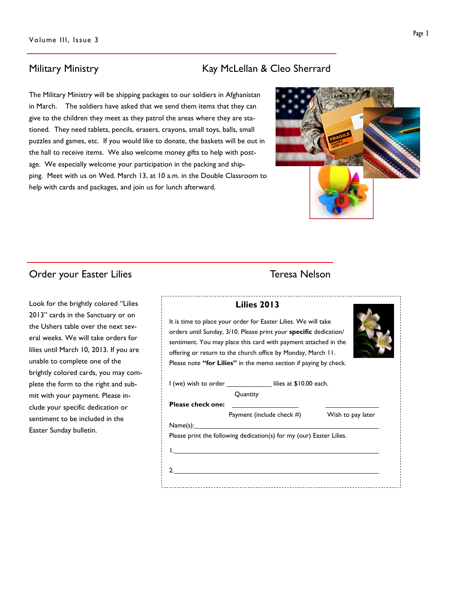The Military Ministry will be shipping packages to our soldiers in Afghanistan in March. The soldiers have asked that we send them items that they can give to the children they meet as they patrol the areas where they are stationed. They need tablets, pencils, erasers, crayons, small toys, balls, small puzzles and games, etc. If you would like to donate, the baskets will be out in the hall to receive items. We also welcome money gifts to help with postage. We especially welcome your participation in the packing and shipping. Meet with us on Wed. March 13, at 10 a.m. in the Double Classroom to help with cards and packages, and join us for lunch afterward.

Ł.

### Order your Easter Lilies Teresa Nelson

Look for the brightly colored "Lilies 2013" cards in the Sanctuary or on the Ushers table over the next several weeks. We will take orders for lilies until March 10, 2013. If you are unable to complete one of the brightly colored cards, you may complete the form to the right and submit with your payment. Please include your specific dedication or sentiment to be included in the Easter Sunday bulletin.

### Military Ministry **Kay McLellan & Cleo Sherrard**

| <b>Lilies 2013</b>                                                                                                                                                                                                                                                                                                                         |  |  |  |  |  |  |  |  |
|--------------------------------------------------------------------------------------------------------------------------------------------------------------------------------------------------------------------------------------------------------------------------------------------------------------------------------------------|--|--|--|--|--|--|--|--|
| It is time to place your order for Easter Lilies. We will take<br>orders until Sunday, 3/10. Please print your specific dedication/<br>sentiment. You may place this card with payment attached in the<br>offering or return to the church office by Monday, March 11.<br>Please note "for Lilies" in the memo section if paying by check. |  |  |  |  |  |  |  |  |
| I (we) wish to order ________________ lilies at \$10.00 each.<br>Quantity                                                                                                                                                                                                                                                                  |  |  |  |  |  |  |  |  |
| <b>Please check one:</b>                                                                                                                                                                                                                                                                                                                   |  |  |  |  |  |  |  |  |
| Payment (include check #)<br>Wish to pay later                                                                                                                                                                                                                                                                                             |  |  |  |  |  |  |  |  |
| Name(s): 1                                                                                                                                                                                                                                                                                                                                 |  |  |  |  |  |  |  |  |
| Please print the following dedication(s) for my (our) Easter Lilies.                                                                                                                                                                                                                                                                       |  |  |  |  |  |  |  |  |
|                                                                                                                                                                                                                                                                                                                                            |  |  |  |  |  |  |  |  |
| 2. $\qquad \qquad$                                                                                                                                                                                                                                                                                                                         |  |  |  |  |  |  |  |  |
|                                                                                                                                                                                                                                                                                                                                            |  |  |  |  |  |  |  |  |

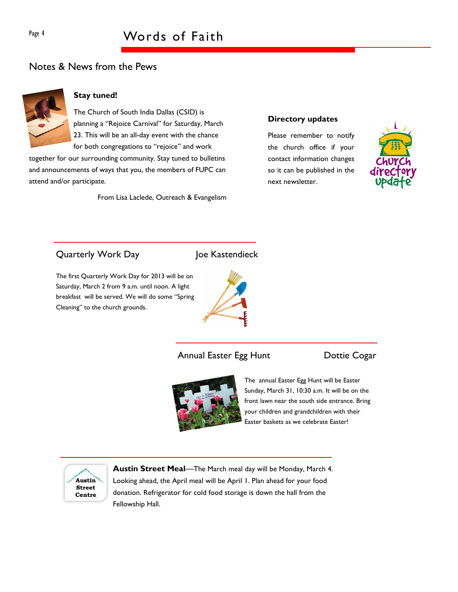### Page 4 Words of Faith

#### Notes & News from the Pews



#### Stay tuned!

The Church of South India Dallas (CSID) is planning a "Rejoice Carnival" for Saturday, March 23. This will be an all-day event with the chance for both congregations to "rejoice" and work

together for our surrounding community. Stay tuned to bulletins and announcements of ways that you, the members of FUPC can attend and/or participate.

From Lisa Laclede, Outreach & Evangelism

#### Directory updates

Please remember to notify the church office if your contact information changes so it can be published in the next newsletter.



### Quarterly Work Day Joe Kastendieck

The first Quarterly Work Day for 2013 will be on Saturday, March 2 from 9 a.m. until noon. A light breakfast will be served. We will do some "Spring Cleaning" to the church grounds.



Annual Easter Egg Hunt **Dottie Cogar** 



The annual Easter Egg Hunt will be Easter Sunday, March 31, 10:30 a.m. It will be on the front lawn near the south side entrance. Bring your children and grandchildren with their Easter baskets as we celebrate Easter!



Austin Street Meal-The March meal day will be Monday, March 4. Looking ahead, the April meal will be April 1. Plan ahead for your food donation. Refrigerator for cold food storage is down the hall from the Fellowship Hall.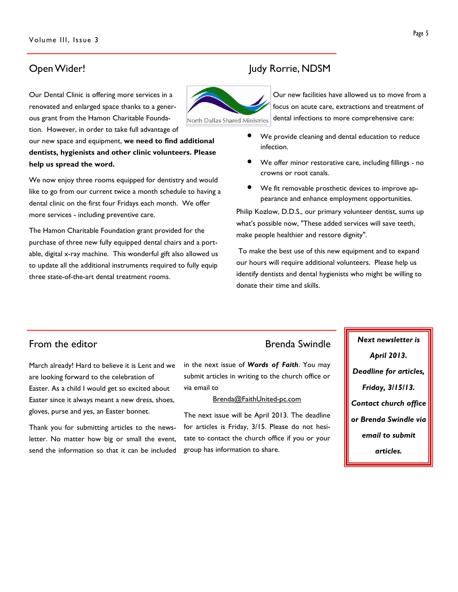Our Dental Clinic is offering more services in a renovated and enlarged space thanks to a generous grant from the Hamon Charitable Foundation. However, in order to take full advantage of

our new space and equipment, we need to find additional dentists, hygienists and other clinic volunteers. Please help us spread the word.

We now enjoy three rooms equipped for dentistry and would like to go from our current twice a month schedule to having a dental clinic on the first four Fridays each month. We offer more services - including preventive care.

The Hamon Charitable Foundation grant provided for the purchase of three new fully equipped dental chairs and a portable, digital x-ray machine. This wonderful gift also allowed us to update all the additional instruments required to fully equip three state-of-the-art dental treatment rooms.

### Open Wider! Judy Rorrie, NDSM



Our new facilities have allowed us to move from a focus on acute care, extractions and treatment of dental infections to more comprehensive care:

- We provide cleaning and dental education to reduce infection.
- We offer minor restorative care, including fillings no crowns or root canals.
- We fit removable prosthetic devices to improve appearance and enhance employment opportunities.

Philip Kozlow, D.D.S., our primary volunteer dentist, sums up what's possible now, "These added services will save teeth, make people healthier and restore dignity".

 To make the best use of this new equipment and to expand our hours will require additional volunteers. Please help us identify dentists and dental hygienists who might be willing to donate their time and skills.

March already! Hard to believe it is Lent and we are looking forward to the celebration of Easter. As a child I would get so excited about Easter since it always meant a new dress, shoes, gloves, purse and yes, an Easter bonnet.

Thank you for submitting articles to the newsletter. No matter how big or small the event, send the information so that it can be included

in the next issue of Words of Faith. You may submit articles in writing to the church office or via email to

#### Brenda@FaithUnited-pc.com

The next issue will be April 2013. The deadline for articles is Friday, 3/15. Please do not hesitate to contact the church office if you or your group has information to share.

From the editor **Exercise Systems** Brenda Swindle **Next newsletter is** April 2013. Deadline for articles, Friday, 3/15/13. Contact church office or Brenda Swindle via email to submit articles.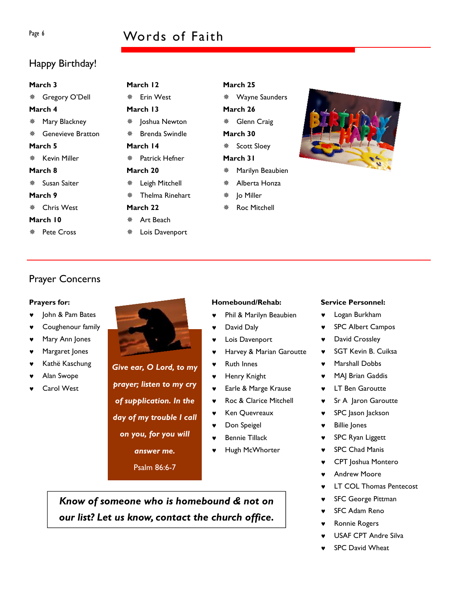### Page 6 Words of Faith

### Happy Birthday!

| March 3  |                     |     | March 12         |  |  |  |
|----------|---------------------|-----|------------------|--|--|--|
|          | * Gregory O'Dell    |     | ※ Erin West      |  |  |  |
| March 4  |                     |     | March 13         |  |  |  |
| ※ -      | Mary Blackney       | ※ - | Joshua Newton    |  |  |  |
|          | ※ Genevieve Bratton |     | Brenda Swindle   |  |  |  |
| March 5  |                     |     | March 14         |  |  |  |
|          | ※ Kevin Miller      |     | ※ Patrick Hefner |  |  |  |
| March 8  |                     |     | March 20         |  |  |  |
|          | ☀ Susan Saiter      | ₩ → | Leigh Mitchell   |  |  |  |
| March 9  |                     |     | Thelma Rinehart  |  |  |  |
|          | ※ Chris West        |     | March 22         |  |  |  |
| March 10 |                     |     | ※ Art Beach      |  |  |  |
|          | ※ Pete Cross        |     | Lois Davenport   |  |  |  |

March 25 Wayne Saunders March 26 Glenn Craig March 30 Scott Sloey March 31 Marilyn Beaubien Alberta Honza Jo Miller

Roc Mitchell

Prayer Concerns

#### Prayers for:

- John & Pam Bates
- Coughenour family
- Mary Ann Jones
- ♥ Margaret Jones
- Kathë Kaschung
- Alan Swope
- Carol West



Give ear, O Lord, to my prayer; listen to my cry of supplication. In the day of my trouble I call on you, for you will answer me.

Psalm 86:6-7

#### Homebound/Rehab:

- ♥ Phil & Marilyn Beaubien
- David Daly
- Lois Davenport
- Harvey & Marian Garoutte
- **Ruth Innes**
- ♥ Henry Knight
- ♥ Earle & Marge Krause
- ♥ Roc & Clarice Mitchell
- ♥ Ken Quevreaux
- ♥ Don Speigel
- Bennie Tillack
- Hugh McWhorter

Know of someone who is homebound & not on our list? Let us know, contact the church office.

#### Service Personnel:

- ♥ Logan Burkham
- ♥ SPC Albert Campos
- David Crossley
- SGT Kevin B. Cuiksa
- Marshall Dobbs
- ♥ MAJ Brian Gaddis
- **LT Ben Garoutte**
- Sr A Jaron Garoutte
- SPC Jason Jackson
- **Billie Jones**
- ♥ SPC Ryan Liggett
- **SPC Chad Manis**
- CPT Joshua Montero
- **Andrew Moore**
- **LT COL Thomas Pentecost**
- **SFC George Pittman**
- **SFC Adam Reno**
- **Ronnie Rogers**
- USAF CPT Andre Silva
- **SPC David Wheat**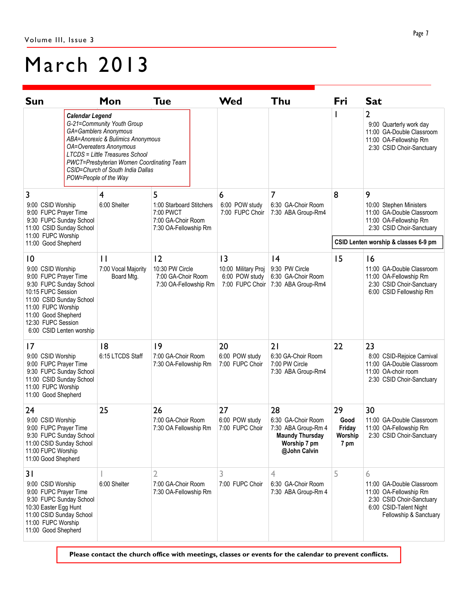## March 2013

| <b>Sun</b>                                                                                                                                                                                                                                |                                                                                                                                                                                                                                                                                             | Mon                                               | <b>Tue</b>                                                                                | Wed                                                           | Thu                                                                                                       | Fri                                                                                                              | <b>Sat</b>                                                                                                                                |
|-------------------------------------------------------------------------------------------------------------------------------------------------------------------------------------------------------------------------------------------|---------------------------------------------------------------------------------------------------------------------------------------------------------------------------------------------------------------------------------------------------------------------------------------------|---------------------------------------------------|-------------------------------------------------------------------------------------------|---------------------------------------------------------------|-----------------------------------------------------------------------------------------------------------|------------------------------------------------------------------------------------------------------------------|-------------------------------------------------------------------------------------------------------------------------------------------|
|                                                                                                                                                                                                                                           | <b>Calendar Legend</b><br>G-21=Community Youth Group<br>GA=Gamblers Anonymous<br>ABA=Anorexic & Bulimics Anonymous<br>OA=Overeaters Anonymous<br>LTCDS = Little Treasures School<br>PWCT=Presbyterian Women Coordinating Team<br>CSID=Church of South India Dallas<br>POW=People of the Way |                                                   |                                                                                           |                                                               |                                                                                                           | 2<br>9:00 Quarterly work day<br>11:00 GA-Double Classroom<br>11:00 OA-Fellowship Rm<br>2:30 CSID Choir-Sanctuary |                                                                                                                                           |
| 3<br>9:00 CSID Worship<br>9:00 FUPC Prayer Time<br>9:30 FUPC Sunday School<br>11:00 CSID Sunday School<br>11:00 FUPC Worship<br>11:00 Good Shepherd                                                                                       |                                                                                                                                                                                                                                                                                             | 4<br>6:00 Shelter                                 | 5<br>1:00 Starboard Stitchers<br>7:00 PWCT<br>7:00 GA-Choir Room<br>7:30 OA-Fellowship Rm | 6<br>6:00 POW study<br>7:00 FUPC Choir                        | 7<br>6:30 GA-Choir Room<br>7:30 ABA Group-Rm4                                                             | 8                                                                                                                | 9<br>10:00 Stephen Ministers<br>11:00 GA-Double Classroom<br>11:00 OA-Fellowship Rm<br>2:30 CSID Choir-Sanctuary                          |
|                                                                                                                                                                                                                                           |                                                                                                                                                                                                                                                                                             |                                                   |                                                                                           |                                                               |                                                                                                           | CSID Lenten worship & classes 6-9 pm                                                                             |                                                                                                                                           |
| $\overline{10}$<br>9:00 CSID Worship<br>9:00 FUPC Prayer Time<br>9:30 FUPC Sunday School<br>10:15 FUPC Session<br>11:00 CSID Sunday School<br>11:00 FUPC Worship<br>11:00 Good Shepherd<br>12:30 FUPC Session<br>6:00 CSID Lenten worship |                                                                                                                                                                                                                                                                                             | $\mathsf{L}$<br>7:00 Vocal Majority<br>Board Mtg. | 12<br>10:30 PW Circle<br>7:00 GA-Choir Room<br>7:30 OA-Fellowship Rm                      | 3<br>10:00 Military Proj<br>6:00 POW study<br>7:00 FUPC Choir | 4<br>9:30 PW Circle<br>6:30 GA-Choir Room<br>7:30 ABA Group-Rm4                                           | 15                                                                                                               | 16<br>11:00 GA-Double Classroom<br>11:00 OA-Fellowship Rm<br>2:30 CSID Choir-Sanctuary<br>6:00 CSID Fellowship Rm                         |
| 7<br>9:00 CSID Worship<br>9:00 FUPC Prayer Time<br>9:30 FUPC Sunday School<br>11:00 CSID Sunday School<br>11:00 FUPC Worship<br>11:00 Good Shepherd                                                                                       |                                                                                                                                                                                                                                                                                             | 8<br>6:15 LTCDS Staff                             | 9<br>7:00 GA-Choir Room<br>7:30 OA-Fellowship Rm                                          | 20<br>6:00 POW study<br>7:00 FUPC Choir                       | 21<br>6:30 GA-Choir Room<br>7:00 PW Circle<br>7:30 ABA Group-Rm4                                          | 22                                                                                                               | 23<br>8:00 CSID-Rejoice Carnival<br>11:00 GA-Double Classroom<br>11:00 OA-choir room<br>2:30 CSID Choir-Sanctuary                         |
| 24<br>9:00 CSID Worship<br>9:00 FUPC Prayer Time<br>9:30 FUPC Sunday School<br>11:00 CSID Sunday School<br>11:00 FUPC Worship<br>11:00 Good Shepherd                                                                                      |                                                                                                                                                                                                                                                                                             | 25                                                | 26<br>7:00 GA-Choir Room<br>7:30 OA Fellowship Rm                                         | 27<br>6:00 POW study<br>7:00 FUPC Choir                       | 28<br>6:30 GA-Choir Room<br>7:30 ABA Group-Rm 4<br><b>Maundy Thursday</b><br>Worship 7 pm<br>@John Calvin | 29<br>Good<br>Friday<br>Worship<br>7 pm                                                                          | 30<br>11:00 GA-Double Classroom<br>11:00 OA-Fellowship Rm<br>2:30 CSID Choir-Sanctuary                                                    |
| 31<br>9:00 CSID Worship<br>9:00 FUPC Prayer Time<br>9:30 FUPC Sunday School<br>10:30 Easter Egg Hunt<br>11:00 CSID Sunday School<br>11:00 FUPC Worship<br>11:00 Good Shepherd                                                             |                                                                                                                                                                                                                                                                                             | 6:00 Shelter                                      | 2<br>7:00 GA-Choir Room<br>7:30 OA-Fellowship Rm                                          | 3<br>7:00 FUPC Choir                                          | 4<br>6:30 GA-Choir Room<br>7:30 ABA Group-Rm 4                                                            | 5                                                                                                                | 6<br>11:00 GA-Double Classroom<br>11:00 OA-Fellowship Rm<br>2:30 CSID Choir-Sanctuary<br>6:00 CSID-Talent Night<br>Fellowship & Sanctuary |

Please contact the church office with meetings, classes or events for the calendar to prevent conflicts.